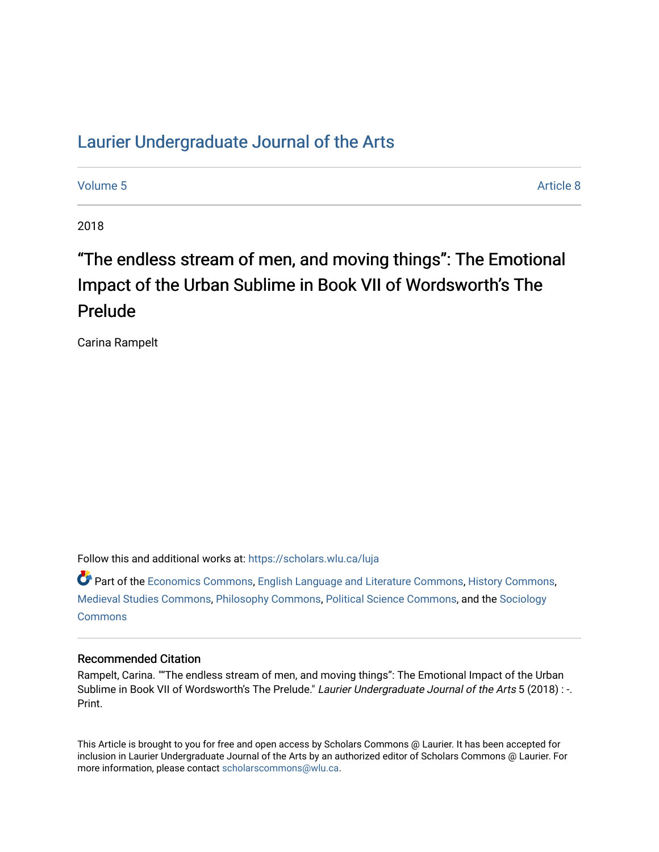# [Laurier Undergraduate Journal of the Arts](https://scholars.wlu.ca/luja)

[Volume 5](https://scholars.wlu.ca/luja/vol5) Article 8

2018

# "The endless stream of men, and moving things": The Emotional Impact of the Urban Sublime in Book VII of Wordsworth's The Prelude

Carina Rampelt

Follow this and additional works at: [https://scholars.wlu.ca/luja](https://scholars.wlu.ca/luja?utm_source=scholars.wlu.ca%2Fluja%2Fvol5%2Fiss1%2F8&utm_medium=PDF&utm_campaign=PDFCoverPages) 

Part of the [Economics Commons](http://network.bepress.com/hgg/discipline/340?utm_source=scholars.wlu.ca%2Fluja%2Fvol5%2Fiss1%2F8&utm_medium=PDF&utm_campaign=PDFCoverPages), [English Language and Literature Commons,](http://network.bepress.com/hgg/discipline/455?utm_source=scholars.wlu.ca%2Fluja%2Fvol5%2Fiss1%2F8&utm_medium=PDF&utm_campaign=PDFCoverPages) [History Commons,](http://network.bepress.com/hgg/discipline/489?utm_source=scholars.wlu.ca%2Fluja%2Fvol5%2Fiss1%2F8&utm_medium=PDF&utm_campaign=PDFCoverPages) [Medieval Studies Commons](http://network.bepress.com/hgg/discipline/480?utm_source=scholars.wlu.ca%2Fluja%2Fvol5%2Fiss1%2F8&utm_medium=PDF&utm_campaign=PDFCoverPages), [Philosophy Commons](http://network.bepress.com/hgg/discipline/525?utm_source=scholars.wlu.ca%2Fluja%2Fvol5%2Fiss1%2F8&utm_medium=PDF&utm_campaign=PDFCoverPages), [Political Science Commons](http://network.bepress.com/hgg/discipline/386?utm_source=scholars.wlu.ca%2Fluja%2Fvol5%2Fiss1%2F8&utm_medium=PDF&utm_campaign=PDFCoverPages), and the [Sociology](http://network.bepress.com/hgg/discipline/416?utm_source=scholars.wlu.ca%2Fluja%2Fvol5%2Fiss1%2F8&utm_medium=PDF&utm_campaign=PDFCoverPages)  **[Commons](http://network.bepress.com/hgg/discipline/416?utm_source=scholars.wlu.ca%2Fluja%2Fvol5%2Fiss1%2F8&utm_medium=PDF&utm_campaign=PDFCoverPages)** 

# Recommended Citation

Rampelt, Carina. ""The endless stream of men, and moving things": The Emotional Impact of the Urban Sublime in Book VII of Wordsworth's The Prelude." Laurier Undergraduate Journal of the Arts 5 (2018) : -. Print.

This Article is brought to you for free and open access by Scholars Commons @ Laurier. It has been accepted for inclusion in Laurier Undergraduate Journal of the Arts by an authorized editor of Scholars Commons @ Laurier. For more information, please contact [scholarscommons@wlu.ca](mailto:scholarscommons@wlu.ca).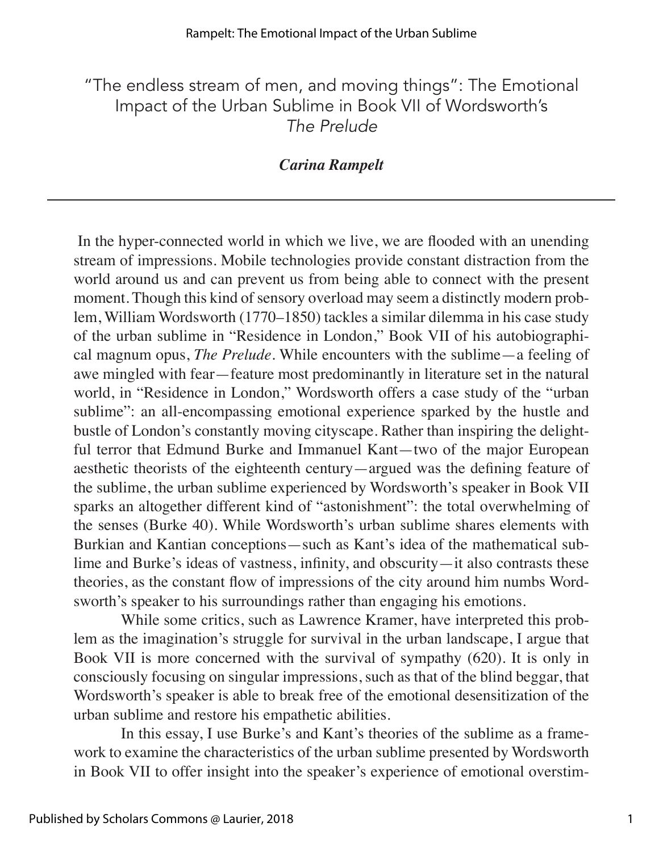"The endless stream of men, and moving things": The Emotional Impact of the Urban Sublime in Book VII of Wordsworth's *The Prelude*

# *Carina Rampelt*

 In the hyper-connected world in which we live, we are flooded with an unending stream of impressions. Mobile technologies provide constant distraction from the world around us and can prevent us from being able to connect with the present moment. Though this kind of sensory overload may seem a distinctly modern problem, William Wordsworth (1770–1850) tackles a similar dilemma in his case study of the urban sublime in "Residence in London," Book VII of his autobiographical magnum opus, *The Prelude*. While encounters with the sublime—a feeling of awe mingled with fear—feature most predominantly in literature set in the natural world, in "Residence in London," Wordsworth offers a case study of the "urban sublime": an all-encompassing emotional experience sparked by the hustle and bustle of London's constantly moving cityscape. Rather than inspiring the delightful terror that Edmund Burke and Immanuel Kant—two of the major European aesthetic theorists of the eighteenth century—argued was the defining feature of the sublime, the urban sublime experienced by Wordsworth's speaker in Book VII sparks an altogether different kind of "astonishment": the total overwhelming of the senses (Burke 40). While Wordsworth's urban sublime shares elements with Burkian and Kantian conceptions—such as Kant's idea of the mathematical sublime and Burke's ideas of vastness, infinity, and obscurity—it also contrasts these theories, as the constant flow of impressions of the city around him numbs Wordsworth's speaker to his surroundings rather than engaging his emotions.

While some critics, such as Lawrence Kramer, have interpreted this problem as the imagination's struggle for survival in the urban landscape, I argue that Book VII is more concerned with the survival of sympathy (620). It is only in consciously focusing on singular impressions, such as that of the blind beggar, that Wordsworth's speaker is able to break free of the emotional desensitization of the urban sublime and restore his empathetic abilities.

In this essay, I use Burke's and Kant's theories of the sublime as a framework to examine the characteristics of the urban sublime presented by Wordsworth in Book VII to offer insight into the speaker's experience of emotional overstim-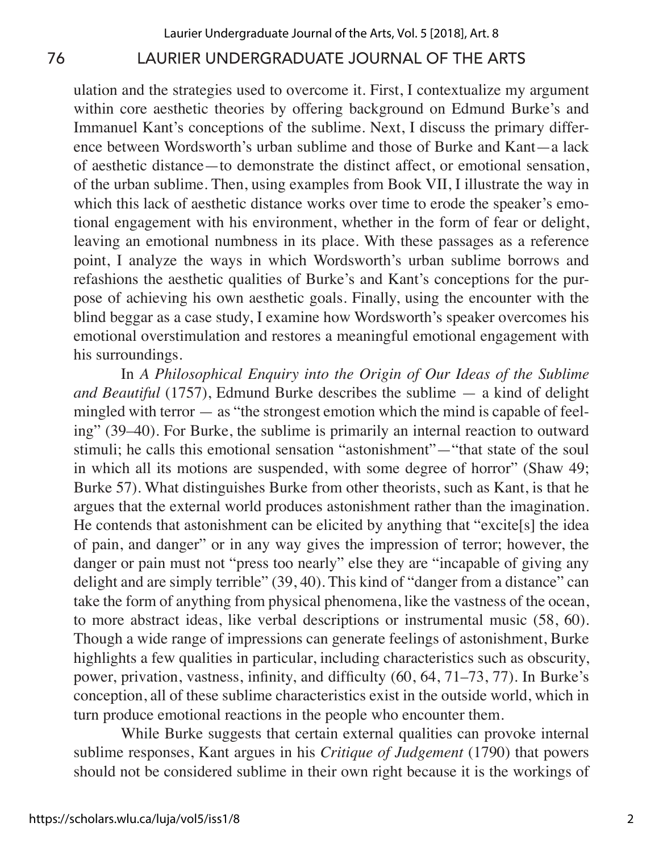# 76 LAURIER UNDERGRADUATE JOURNAL OF THE ARTS

ulation and the strategies used to overcome it. First, I contextualize my argument within core aesthetic theories by offering background on Edmund Burke's and Immanuel Kant's conceptions of the sublime. Next, I discuss the primary difference between Wordsworth's urban sublime and those of Burke and Kant—a lack of aesthetic distance—to demonstrate the distinct affect, or emotional sensation, of the urban sublime. Then, using examples from Book VII, I illustrate the way in which this lack of aesthetic distance works over time to erode the speaker's emotional engagement with his environment, whether in the form of fear or delight, leaving an emotional numbness in its place. With these passages as a reference point, I analyze the ways in which Wordsworth's urban sublime borrows and refashions the aesthetic qualities of Burke's and Kant's conceptions for the purpose of achieving his own aesthetic goals. Finally, using the encounter with the blind beggar as a case study, I examine how Wordsworth's speaker overcomes his emotional overstimulation and restores a meaningful emotional engagement with his surroundings.

In *A Philosophical Enquiry into the Origin of Our Ideas of the Sublime and Beautiful* (1757), Edmund Burke describes the sublime — a kind of delight mingled with terror  $-$  as "the strongest emotion which the mind is capable of feeling" (39–40). For Burke, the sublime is primarily an internal reaction to outward stimuli; he calls this emotional sensation "astonishment"—"that state of the soul in which all its motions are suspended, with some degree of horror" (Shaw 49; Burke 57). What distinguishes Burke from other theorists, such as Kant, is that he argues that the external world produces astonishment rather than the imagination. He contends that astonishment can be elicited by anything that "excite[s] the idea of pain, and danger" or in any way gives the impression of terror; however, the danger or pain must not "press too nearly" else they are "incapable of giving any delight and are simply terrible" (39, 40). This kind of "danger from a distance" can take the form of anything from physical phenomena, like the vastness of the ocean, to more abstract ideas, like verbal descriptions or instrumental music (58, 60). Though a wide range of impressions can generate feelings of astonishment, Burke highlights a few qualities in particular, including characteristics such as obscurity, power, privation, vastness, infinity, and difficulty (60, 64, 71–73, 77). In Burke's conception, all of these sublime characteristics exist in the outside world, which in turn produce emotional reactions in the people who encounter them.

While Burke suggests that certain external qualities can provoke internal sublime responses, Kant argues in his *Critique of Judgement* (1790) that powers should not be considered sublime in their own right because it is the workings of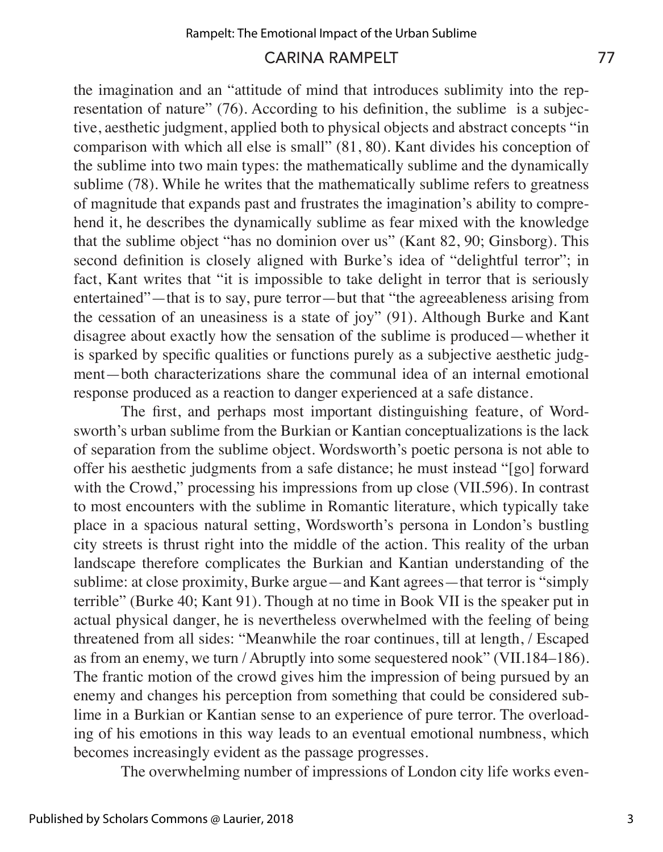## CARINA RAMPELT 77

the imagination and an "attitude of mind that introduces sublimity into the representation of nature" (76). According to his definition, the sublime is a subjective, aesthetic judgment, applied both to physical objects and abstract concepts "in comparison with which all else is small" (81, 80). Kant divides his conception of the sublime into two main types: the mathematically sublime and the dynamically sublime (78). While he writes that the mathematically sublime refers to greatness of magnitude that expands past and frustrates the imagination's ability to comprehend it, he describes the dynamically sublime as fear mixed with the knowledge that the sublime object "has no dominion over us" (Kant 82, 90; Ginsborg). This second definition is closely aligned with Burke's idea of "delightful terror"; in fact, Kant writes that "it is impossible to take delight in terror that is seriously entertained"—that is to say, pure terror—but that "the agreeableness arising from the cessation of an uneasiness is a state of joy" (91). Although Burke and Kant disagree about exactly how the sensation of the sublime is produced—whether it is sparked by specific qualities or functions purely as a subjective aesthetic judgment—both characterizations share the communal idea of an internal emotional response produced as a reaction to danger experienced at a safe distance.

The first, and perhaps most important distinguishing feature, of Wordsworth's urban sublime from the Burkian or Kantian conceptualizations is the lack of separation from the sublime object. Wordsworth's poetic persona is not able to offer his aesthetic judgments from a safe distance; he must instead "[go] forward with the Crowd," processing his impressions from up close (VII.596). In contrast to most encounters with the sublime in Romantic literature, which typically take place in a spacious natural setting, Wordsworth's persona in London's bustling city streets is thrust right into the middle of the action. This reality of the urban landscape therefore complicates the Burkian and Kantian understanding of the sublime: at close proximity, Burke argue—and Kant agrees—that terror is "simply terrible" (Burke 40; Kant 91). Though at no time in Book VII is the speaker put in actual physical danger, he is nevertheless overwhelmed with the feeling of being threatened from all sides: "Meanwhile the roar continues, till at length, / Escaped as from an enemy, we turn / Abruptly into some sequestered nook" (VII.184–186). The frantic motion of the crowd gives him the impression of being pursued by an enemy and changes his perception from something that could be considered sublime in a Burkian or Kantian sense to an experience of pure terror. The overloading of his emotions in this way leads to an eventual emotional numbness, which becomes increasingly evident as the passage progresses.

The overwhelming number of impressions of London city life works even-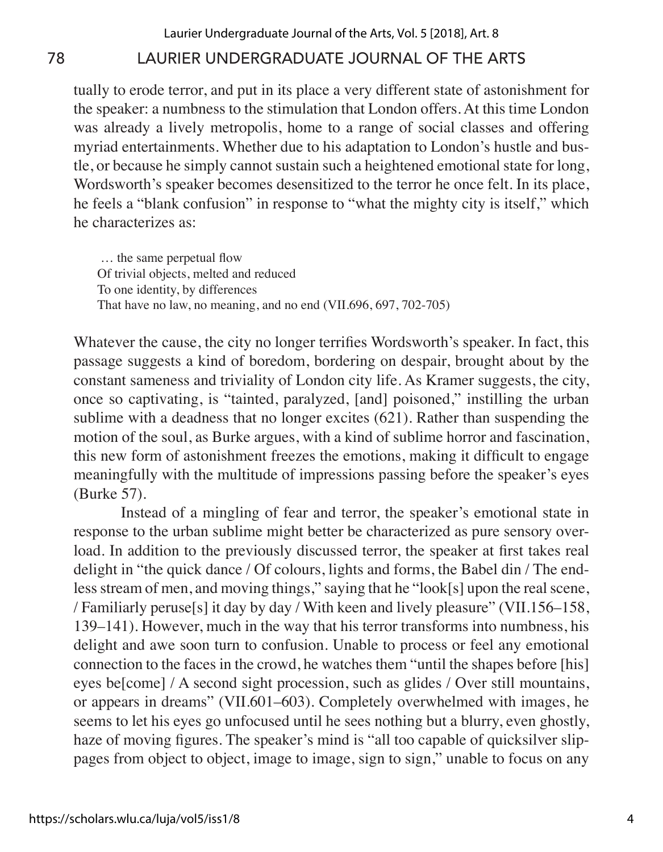# 78 LAURIER UNDERGRADUATE JOURNAL OF THE ARTS

tually to erode terror, and put in its place a very different state of astonishment for the speaker: a numbness to the stimulation that London offers. At this time London was already a lively metropolis, home to a range of social classes and offering myriad entertainments. Whether due to his adaptation to London's hustle and bustle, or because he simply cannot sustain such a heightened emotional state for long, Wordsworth's speaker becomes desensitized to the terror he once felt. In its place, he feels a "blank confusion" in response to "what the mighty city is itself," which he characterizes as:

 … the same perpetual flow Of trivial objects, melted and reduced To one identity, by differences That have no law, no meaning, and no end (VII.696, 697, 702-705)

Whatever the cause, the city no longer terrifies Wordsworth's speaker. In fact, this passage suggests a kind of boredom, bordering on despair, brought about by the constant sameness and triviality of London city life. As Kramer suggests, the city, once so captivating, is "tainted, paralyzed, [and] poisoned," instilling the urban sublime with a deadness that no longer excites (621). Rather than suspending the motion of the soul, as Burke argues, with a kind of sublime horror and fascination, this new form of astonishment freezes the emotions, making it difficult to engage meaningfully with the multitude of impressions passing before the speaker's eyes (Burke 57).

Instead of a mingling of fear and terror, the speaker's emotional state in response to the urban sublime might better be characterized as pure sensory overload. In addition to the previously discussed terror, the speaker at first takes real delight in "the quick dance / Of colours, lights and forms, the Babel din / The endless stream of men, and moving things," saying that he "look[s] upon the real scene, / Familiarly peruse[s] it day by day / With keen and lively pleasure" (VII.156–158, 139–141). However, much in the way that his terror transforms into numbness, his delight and awe soon turn to confusion. Unable to process or feel any emotional connection to the faces in the crowd, he watches them "until the shapes before [his] eyes be[come] / A second sight procession, such as glides / Over still mountains, or appears in dreams" (VII.601–603). Completely overwhelmed with images, he seems to let his eyes go unfocused until he sees nothing but a blurry, even ghostly, haze of moving figures. The speaker's mind is "all too capable of quicksilver slippages from object to object, image to image, sign to sign," unable to focus on any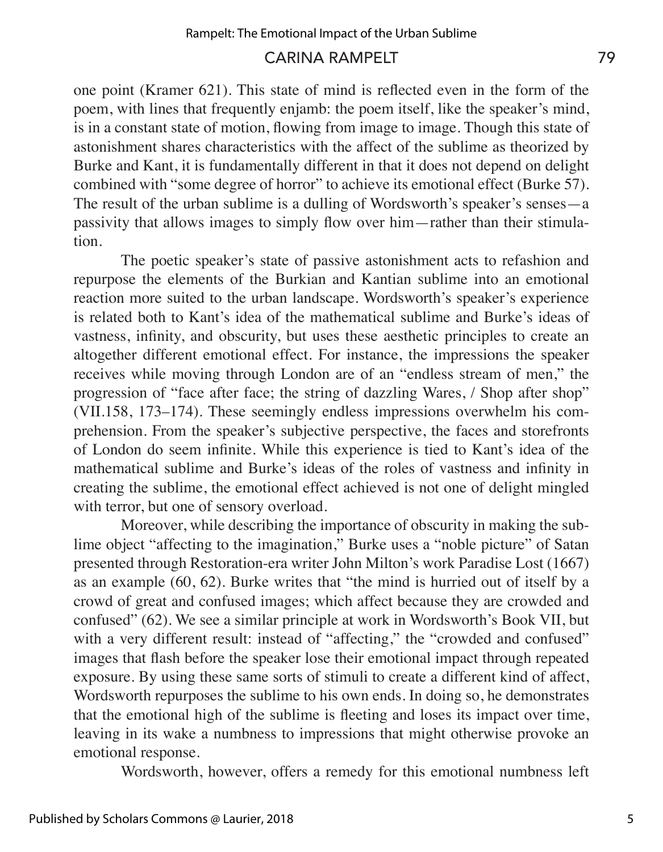# CARINA RAMPELT 79

one point (Kramer 621). This state of mind is reflected even in the form of the poem, with lines that frequently enjamb: the poem itself, like the speaker's mind, is in a constant state of motion, flowing from image to image. Though this state of astonishment shares characteristics with the affect of the sublime as theorized by Burke and Kant, it is fundamentally different in that it does not depend on delight combined with "some degree of horror" to achieve its emotional effect (Burke 57). The result of the urban sublime is a dulling of Wordsworth's speaker's senses—a passivity that allows images to simply flow over him—rather than their stimulation.

The poetic speaker's state of passive astonishment acts to refashion and repurpose the elements of the Burkian and Kantian sublime into an emotional reaction more suited to the urban landscape. Wordsworth's speaker's experience is related both to Kant's idea of the mathematical sublime and Burke's ideas of vastness, infinity, and obscurity, but uses these aesthetic principles to create an altogether different emotional effect. For instance, the impressions the speaker receives while moving through London are of an "endless stream of men," the progression of "face after face; the string of dazzling Wares, / Shop after shop" (VII.158, 173–174). These seemingly endless impressions overwhelm his comprehension. From the speaker's subjective perspective, the faces and storefronts of London do seem infinite. While this experience is tied to Kant's idea of the mathematical sublime and Burke's ideas of the roles of vastness and infinity in creating the sublime, the emotional effect achieved is not one of delight mingled with terror, but one of sensory overload.

Moreover, while describing the importance of obscurity in making the sublime object "affecting to the imagination," Burke uses a "noble picture" of Satan presented through Restoration-era writer John Milton's work Paradise Lost (1667) as an example (60, 62). Burke writes that "the mind is hurried out of itself by a crowd of great and confused images; which affect because they are crowded and confused" (62). We see a similar principle at work in Wordsworth's Book VII, but with a very different result: instead of "affecting," the "crowded and confused" images that flash before the speaker lose their emotional impact through repeated exposure. By using these same sorts of stimuli to create a different kind of affect, Wordsworth repurposes the sublime to his own ends. In doing so, he demonstrates that the emotional high of the sublime is fleeting and loses its impact over time, leaving in its wake a numbness to impressions that might otherwise provoke an emotional response.

Wordsworth, however, offers a remedy for this emotional numbness left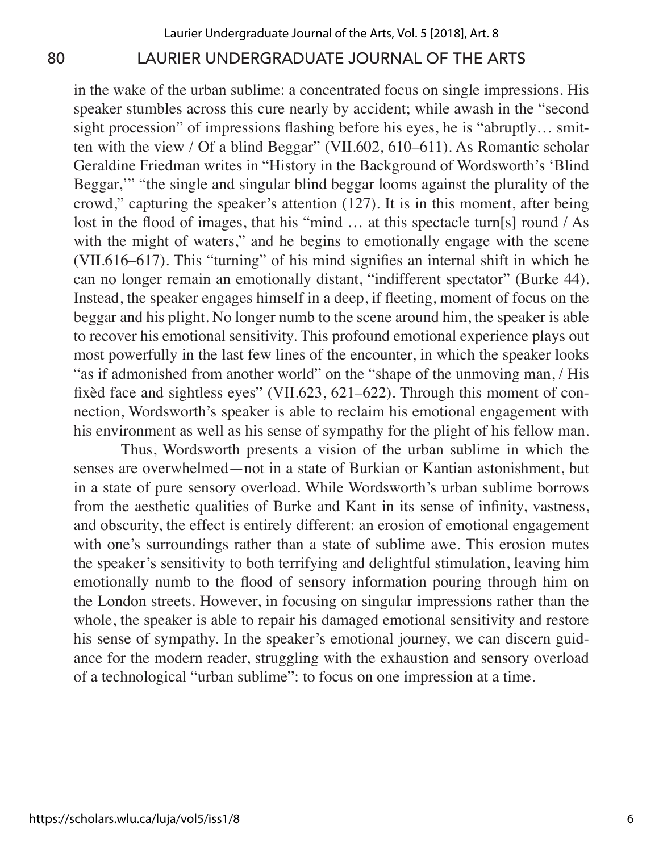# 80 LAURIER UNDERGRADUATE JOURNAL OF THE ARTS

in the wake of the urban sublime: a concentrated focus on single impressions. His speaker stumbles across this cure nearly by accident; while awash in the "second sight procession" of impressions flashing before his eyes, he is "abruptly… smitten with the view / Of a blind Beggar" (VII.602, 610–611). As Romantic scholar Geraldine Friedman writes in "History in the Background of Wordsworth's 'Blind Beggar,'" "the single and singular blind beggar looms against the plurality of the crowd," capturing the speaker's attention (127). It is in this moment, after being lost in the flood of images, that his "mind ... at this spectacle turn[s] round / As with the might of waters," and he begins to emotionally engage with the scene (VII.616–617). This "turning" of his mind signifies an internal shift in which he can no longer remain an emotionally distant, "indifferent spectator" (Burke 44). Instead, the speaker engages himself in a deep, if fleeting, moment of focus on the beggar and his plight. No longer numb to the scene around him, the speaker is able to recover his emotional sensitivity. This profound emotional experience plays out most powerfully in the last few lines of the encounter, in which the speaker looks "as if admonished from another world" on the "shape of the unmoving man, / His fixèd face and sightless eyes" (VII.623, 621–622). Through this moment of connection, Wordsworth's speaker is able to reclaim his emotional engagement with his environment as well as his sense of sympathy for the plight of his fellow man.

Thus, Wordsworth presents a vision of the urban sublime in which the senses are overwhelmed—not in a state of Burkian or Kantian astonishment, but in a state of pure sensory overload. While Wordsworth's urban sublime borrows from the aesthetic qualities of Burke and Kant in its sense of infinity, vastness, and obscurity, the effect is entirely different: an erosion of emotional engagement with one's surroundings rather than a state of sublime awe. This erosion mutes the speaker's sensitivity to both terrifying and delightful stimulation, leaving him emotionally numb to the flood of sensory information pouring through him on the London streets. However, in focusing on singular impressions rather than the whole, the speaker is able to repair his damaged emotional sensitivity and restore his sense of sympathy. In the speaker's emotional journey, we can discern guidance for the modern reader, struggling with the exhaustion and sensory overload of a technological "urban sublime": to focus on one impression at a time.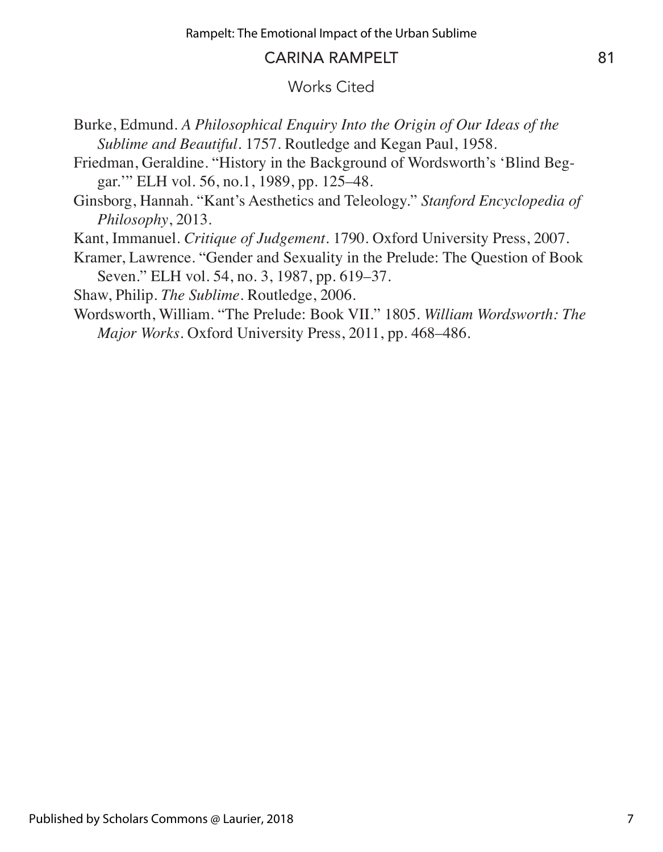### CARINA RAMPELT 81

### Works Cited

- Burke, Edmund. *A Philosophical Enquiry Into the Origin of Our Ideas of the Sublime and Beautiful*. 1757. Routledge and Kegan Paul, 1958.
- Friedman, Geraldine. "History in the Background of Wordsworth's 'Blind Beggar.'" ELH vol. 56, no.1, 1989, pp. 125–48.
- Ginsborg, Hannah. "Kant's Aesthetics and Teleology." *Stanford Encyclopedia of Philosophy*, 2013.
- Kant, Immanuel. *Critique of Judgement*. 1790. Oxford University Press, 2007.
- Kramer, Lawrence. "Gender and Sexuality in the Prelude: The Question of Book Seven." ELH vol. 54, no. 3, 1987, pp. 619–37.

Shaw, Philip. *The Sublime*. Routledge, 2006.

Wordsworth, William. "The Prelude: Book VII." 1805. *William Wordsworth: The Major Works*. Oxford University Press, 2011, pp. 468–486.